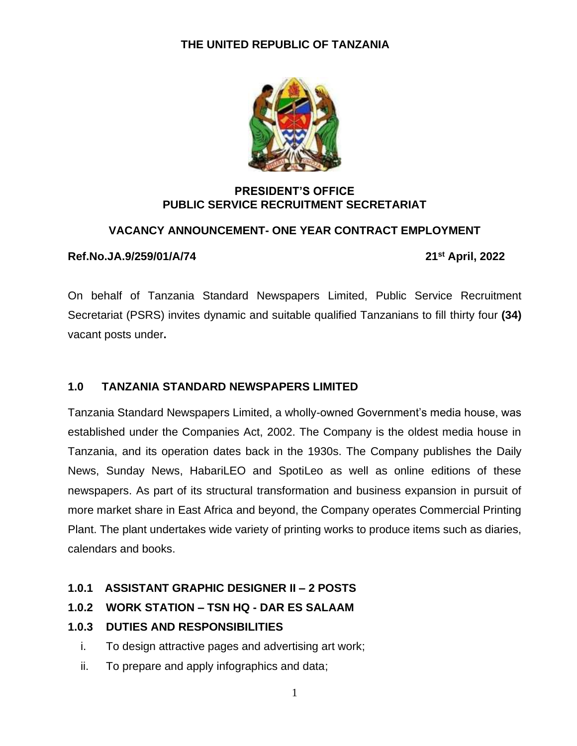

#### **PRESIDENT'S OFFICE PUBLIC SERVICE RECRUITMENT SECRETARIAT**

#### **VACANCY ANNOUNCEMENT- ONE YEAR CONTRACT EMPLOYMENT**

#### **Ref.No.JA.9/259/01/A/74 21**

**st April, 2022**

On behalf of Tanzania Standard Newspapers Limited, Public Service Recruitment Secretariat (PSRS) invites dynamic and suitable qualified Tanzanians to fill thirty four **(34)** vacant posts under**.**

#### **1.0 TANZANIA STANDARD NEWSPAPERS LIMITED**

Tanzania Standard Newspapers Limited, a wholly-owned Government's media house, was established under the Companies Act, 2002. The Company is the oldest media house in Tanzania, and its operation dates back in the 1930s. The Company publishes the Daily News, Sunday News, HabariLEO and SpotiLeo as well as online editions of these newspapers. As part of its structural transformation and business expansion in pursuit of more market share in East Africa and beyond, the Company operates Commercial Printing Plant. The plant undertakes wide variety of printing works to produce items such as diaries, calendars and books.

# **1.0.1 ASSISTANT GRAPHIC DESIGNER II – 2 POSTS**

# **1.0.2 WORK STATION – TSN HQ - DAR ES SALAAM**

# **1.0.3 DUTIES AND RESPONSIBILITIES**

- i. To design attractive pages and advertising art work;
- ii. To prepare and apply infographics and data;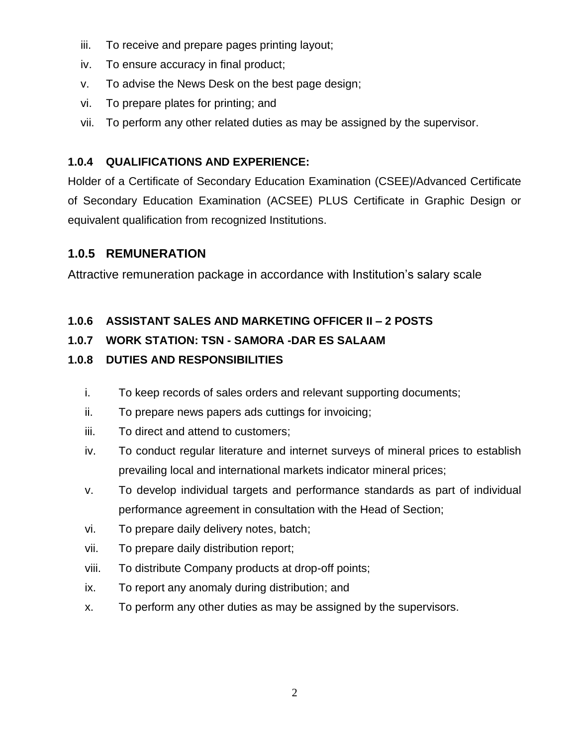- iii. To receive and prepare pages printing layout;
- iv. To ensure accuracy in final product;
- v. To advise the News Desk on the best page design;
- vi. To prepare plates for printing; and
- vii. To perform any other related duties as may be assigned by the supervisor.

# **1.0.4 QUALIFICATIONS AND EXPERIENCE:**

Holder of a Certificate of Secondary Education Examination (CSEE)/Advanced Certificate of Secondary Education Examination (ACSEE) PLUS Certificate in Graphic Design or equivalent qualification from recognized Institutions.

# **1.0.5 REMUNERATION**

Attractive remuneration package in accordance with Institution's salary scale

# **1.0.6 ASSISTANT SALES AND MARKETING OFFICER II – 2 POSTS**

# **1.0.7 WORK STATION: TSN - SAMORA -DAR ES SALAAM**

# **1.0.8 DUTIES AND RESPONSIBILITIES**

- i. To keep records of sales orders and relevant supporting documents;
- ii. To prepare news papers ads cuttings for invoicing;
- iii. To direct and attend to customers;
- iv. To conduct regular literature and internet surveys of mineral prices to establish prevailing local and international markets indicator mineral prices;
- v. To develop individual targets and performance standards as part of individual performance agreement in consultation with the Head of Section;
- vi. To prepare daily delivery notes, batch;
- vii. To prepare daily distribution report;
- viii. To distribute Company products at drop-off points;
- ix. To report any anomaly during distribution; and
- x. To perform any other duties as may be assigned by the supervisors.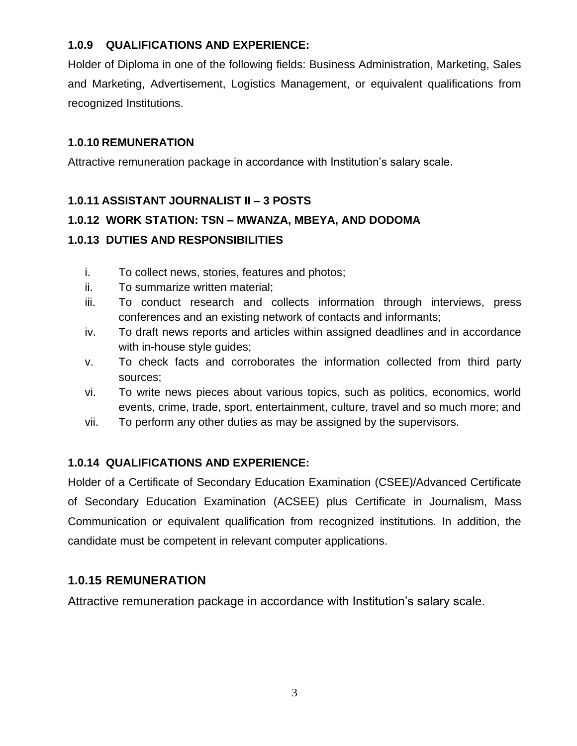#### **1.0.9 QUALIFICATIONS AND EXPERIENCE:**

Holder of Diploma in one of the following fields: Business Administration, Marketing, Sales and Marketing, Advertisement, Logistics Management, or equivalent qualifications from recognized Institutions.

#### **1.0.10 REMUNERATION**

Attractive remuneration package in accordance with Institution's salary scale.

#### **1.0.11 ASSISTANT JOURNALIST II – 3 POSTS**

#### **1.0.12 WORK STATION: TSN – MWANZA, MBEYA, AND DODOMA**

#### **1.0.13 DUTIES AND RESPONSIBILITIES**

- i. To collect news, stories, features and photos;
- ii. To summarize written material;
- iii. To conduct research and collects information through interviews, press conferences and an existing network of contacts and informants;
- iv. To draft news reports and articles within assigned deadlines and in accordance with in-house style guides;
- v. To check facts and corroborates the information collected from third party sources;
- vi. To write news pieces about various topics, such as politics, economics, world events, crime, trade, sport, entertainment, culture, travel and so much more; and
- vii. To perform any other duties as may be assigned by the supervisors.

# **1.0.14 QUALIFICATIONS AND EXPERIENCE:**

Holder of a Certificate of Secondary Education Examination (CSEE)/Advanced Certificate of Secondary Education Examination (ACSEE) plus Certificate in Journalism, Mass Communication or equivalent qualification from recognized institutions. In addition, the candidate must be competent in relevant computer applications.

# **1.0.15 REMUNERATION**

Attractive remuneration package in accordance with Institution's salary scale.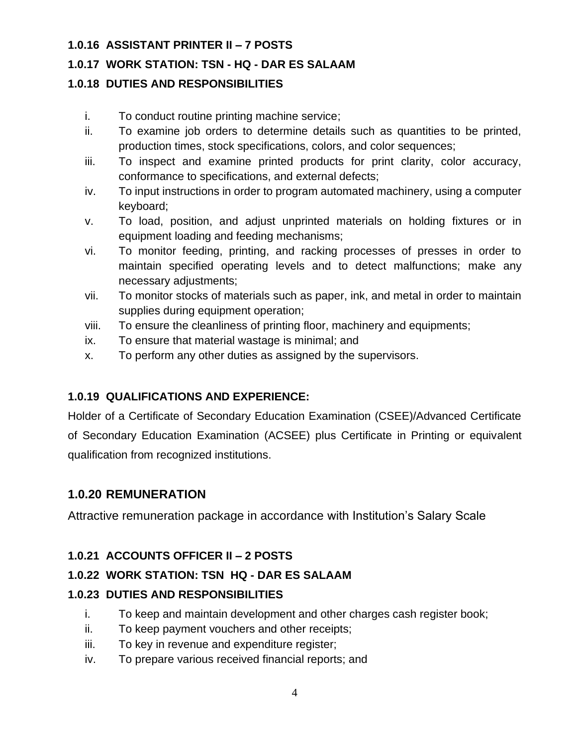#### **1.0.16 ASSISTANT PRINTER II – 7 POSTS**

#### **1.0.17 WORK STATION: TSN - HQ - DAR ES SALAAM**

# **1.0.18 DUTIES AND RESPONSIBILITIES**

- i. To conduct routine printing machine service;
- ii. To examine job orders to determine details such as quantities to be printed, production times, stock specifications, colors, and color sequences;
- iii. To inspect and examine printed products for print clarity, color accuracy, conformance to specifications, and external defects;
- iv. To input instructions in order to program automated machinery, using a computer keyboard;
- v. To load, position, and adjust unprinted materials on holding fixtures or in equipment loading and feeding mechanisms;
- vi. To monitor feeding, printing, and racking processes of presses in order to maintain specified operating levels and to detect malfunctions; make any necessary adjustments;
- vii. To monitor stocks of materials such as paper, ink, and metal in order to maintain supplies during equipment operation;
- viii. To ensure the cleanliness of printing floor, machinery and equipments;
- ix. To ensure that material wastage is minimal; and
- x. To perform any other duties as assigned by the supervisors.

# **1.0.19 QUALIFICATIONS AND EXPERIENCE:**

Holder of a Certificate of Secondary Education Examination (CSEE)/Advanced Certificate of Secondary Education Examination (ACSEE) plus Certificate in Printing or equivalent qualification from recognized institutions.

#### **1.0.20 REMUNERATION**

Attractive remuneration package in accordance with Institution's Salary Scale

#### **1.0.21 ACCOUNTS OFFICER II – 2 POSTS**

#### **1.0.22 WORK STATION: TSN HQ - DAR ES SALAAM**

#### **1.0.23 DUTIES AND RESPONSIBILITIES**

- i. To keep and maintain development and other charges cash register book;
- ii. To keep payment vouchers and other receipts;
- iii. To key in revenue and expenditure register;
- iv. To prepare various received financial reports; and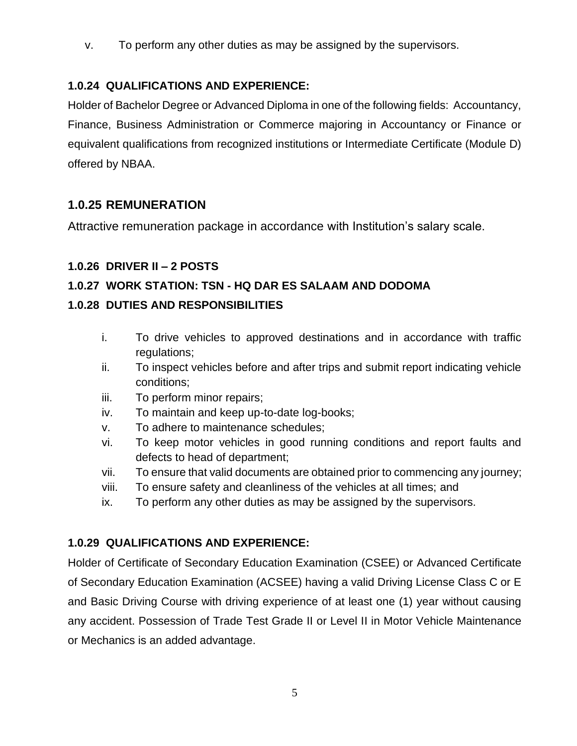v. To perform any other duties as may be assigned by the supervisors.

#### **1.0.24 QUALIFICATIONS AND EXPERIENCE:**

Holder of Bachelor Degree or Advanced Diploma in one of the following fields: Accountancy, Finance, Business Administration or Commerce majoring in Accountancy or Finance or equivalent qualifications from recognized institutions or Intermediate Certificate (Module D) offered by NBAA.

#### **1.0.25 REMUNERATION**

Attractive remuneration package in accordance with Institution's salary scale.

#### **1.0.26 DRIVER II – 2 POSTS**

#### **1.0.27 WORK STATION: TSN - HQ DAR ES SALAAM AND DODOMA**

#### **1.0.28 DUTIES AND RESPONSIBILITIES**

- i. To drive vehicles to approved destinations and in accordance with traffic regulations;
- ii. To inspect vehicles before and after trips and submit report indicating vehicle conditions;
- iii. To perform minor repairs;
- iv. To maintain and keep up-to-date log-books;
- v. To adhere to maintenance schedules;
- vi. To keep motor vehicles in good running conditions and report faults and defects to head of department;
- vii. To ensure that valid documents are obtained prior to commencing any journey;
- viii. To ensure safety and cleanliness of the vehicles at all times; and
- ix. To perform any other duties as may be assigned by the supervisors.

#### **1.0.29 QUALIFICATIONS AND EXPERIENCE:**

Holder of Certificate of Secondary Education Examination (CSEE) or Advanced Certificate of Secondary Education Examination (ACSEE) having a valid Driving License Class C or E and Basic Driving Course with driving experience of at least one (1) year without causing any accident. Possession of Trade Test Grade II or Level II in Motor Vehicle Maintenance or Mechanics is an added advantage.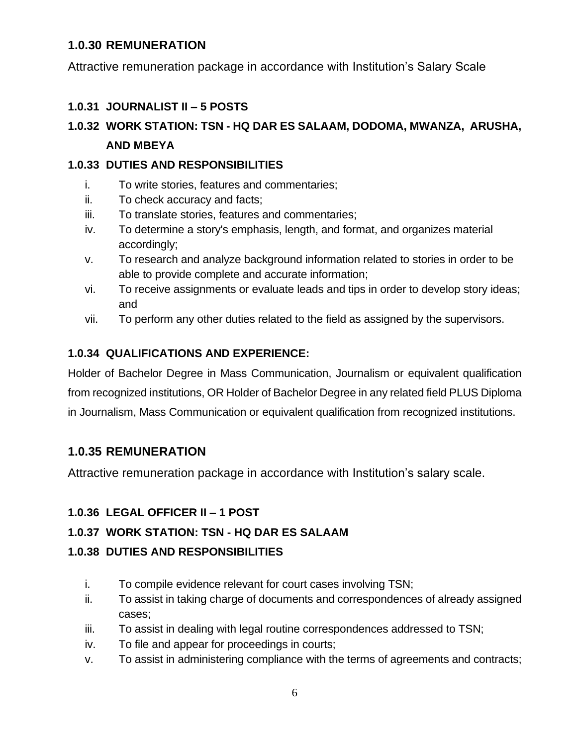#### **1.0.30 REMUNERATION**

Attractive remuneration package in accordance with Institution's Salary Scale

#### **1.0.31 JOURNALIST II – 5 POSTS**

# **1.0.32 WORK STATION: TSN - HQ DAR ES SALAAM, DODOMA, MWANZA, ARUSHA, AND MBEYA**

#### **1.0.33 DUTIES AND RESPONSIBILITIES**

- i. To write stories, features and commentaries;
- ii. To check accuracy and facts;
- iii. To translate stories, features and commentaries;
- iv. To determine a story's emphasis, length, and format, and organizes material accordingly;
- v. To research and analyze background information related to stories in order to be able to provide complete and accurate information;
- vi. To receive assignments or evaluate leads and tips in order to develop story ideas; and
- vii. To perform any other duties related to the field as assigned by the supervisors.

# **1.0.34 QUALIFICATIONS AND EXPERIENCE:**

Holder of Bachelor Degree in Mass Communication, Journalism or equivalent qualification from recognized institutions, OR Holder of Bachelor Degree in any related field PLUS Diploma in Journalism, Mass Communication or equivalent qualification from recognized institutions.

# **1.0.35 REMUNERATION**

Attractive remuneration package in accordance with Institution's salary scale.

# **1.0.36 LEGAL OFFICER II – 1 POST**

# **1.0.37 WORK STATION: TSN - HQ DAR ES SALAAM**

# **1.0.38 DUTIES AND RESPONSIBILITIES**

- i. To compile evidence relevant for court cases involving TSN;
- ii. To assist in taking charge of documents and correspondences of already assigned cases;
- iii. To assist in dealing with legal routine correspondences addressed to TSN;
- iv. To file and appear for proceedings in courts;
- v. To assist in administering compliance with the terms of agreements and contracts;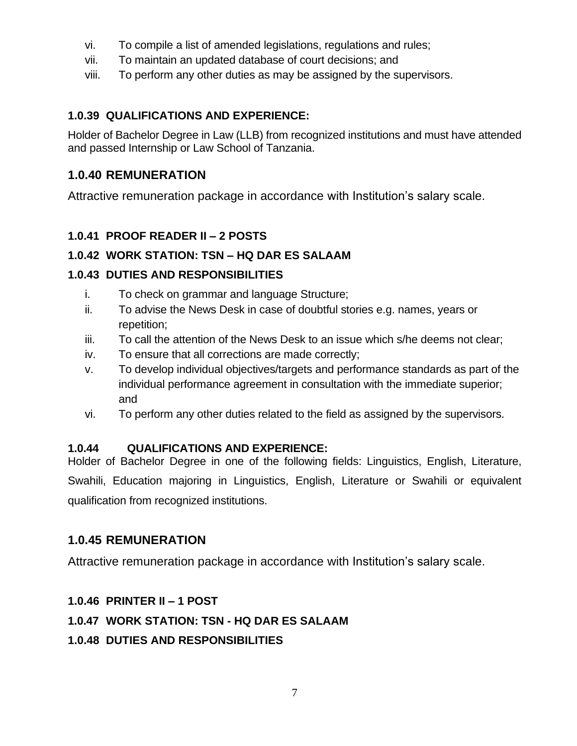- vi. To compile a list of amended legislations, regulations and rules;
- vii. To maintain an updated database of court decisions; and
- viii. To perform any other duties as may be assigned by the supervisors.

# **1.0.39 QUALIFICATIONS AND EXPERIENCE:**

Holder of Bachelor Degree in Law (LLB) from recognized institutions and must have attended and passed Internship or Law School of Tanzania.

# **1.0.40 REMUNERATION**

Attractive remuneration package in accordance with Institution's salary scale.

# **1.0.41 PROOF READER II – 2 POSTS**

# **1.0.42 WORK STATION: TSN – HQ DAR ES SALAAM**

# **1.0.43 DUTIES AND RESPONSIBILITIES**

- i. To check on grammar and language Structure;
- ii. To advise the News Desk in case of doubtful stories e.g. names, years or repetition;
- iii. To call the attention of the News Desk to an issue which s/he deems not clear;
- iv. To ensure that all corrections are made correctly;
- v. To develop individual objectives/targets and performance standards as part of the individual performance agreement in consultation with the immediate superior; and
- vi. To perform any other duties related to the field as assigned by the supervisors.

# **1.0.44 QUALIFICATIONS AND EXPERIENCE:**

Holder of Bachelor Degree in one of the following fields: Linguistics, English, Literature, Swahili, Education majoring in Linguistics, English, Literature or Swahili or equivalent qualification from recognized institutions.

# **1.0.45 REMUNERATION**

Attractive remuneration package in accordance with Institution's salary scale.

# **1.0.46 PRINTER II – 1 POST**

# **1.0.47 WORK STATION: TSN - HQ DAR ES SALAAM**

# **1.0.48 DUTIES AND RESPONSIBILITIES**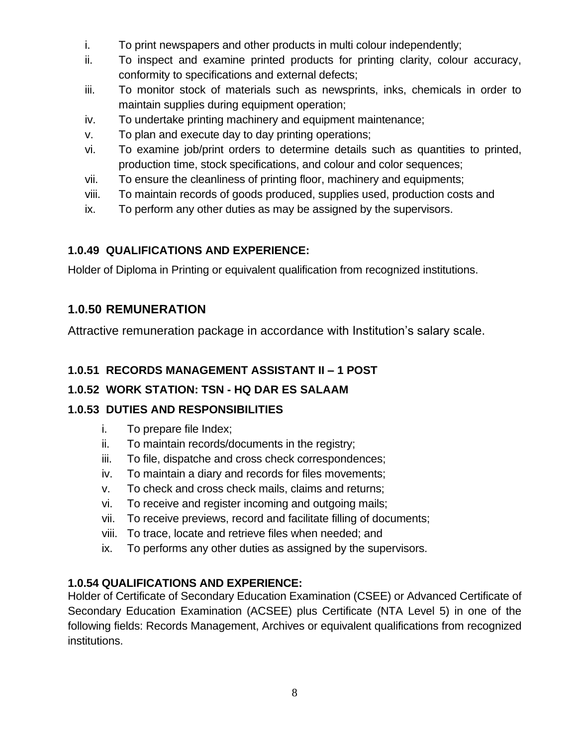- i. To print newspapers and other products in multi colour independently;
- ii. To inspect and examine printed products for printing clarity, colour accuracy, conformity to specifications and external defects;
- iii. To monitor stock of materials such as newsprints, inks, chemicals in order to maintain supplies during equipment operation;
- iv. To undertake printing machinery and equipment maintenance;
- v. To plan and execute day to day printing operations;
- vi. To examine job/print orders to determine details such as quantities to printed, production time, stock specifications, and colour and color sequences;
- vii. To ensure the cleanliness of printing floor, machinery and equipments;
- viii. To maintain records of goods produced, supplies used, production costs and
- ix. To perform any other duties as may be assigned by the supervisors.

# **1.0.49 QUALIFICATIONS AND EXPERIENCE:**

Holder of Diploma in Printing or equivalent qualification from recognized institutions.

# **1.0.50 REMUNERATION**

Attractive remuneration package in accordance with Institution's salary scale.

# **1.0.51 RECORDS MANAGEMENT ASSISTANT II – 1 POST**

# **1.0.52 WORK STATION: TSN - HQ DAR ES SALAAM**

# **1.0.53 DUTIES AND RESPONSIBILITIES**

- i. To prepare file Index;
- ii. To maintain records/documents in the registry;
- iii. To file, dispatche and cross check correspondences;
- iv. To maintain a diary and records for files movements;
- v. To check and cross check mails, claims and returns;
- vi. To receive and register incoming and outgoing mails;
- vii. To receive previews, record and facilitate filling of documents;
- viii. To trace, locate and retrieve files when needed; and
- ix. To performs any other duties as assigned by the supervisors.

# **1.0.54 QUALIFICATIONS AND EXPERIENCE:**

Holder of Certificate of Secondary Education Examination (CSEE) or Advanced Certificate of Secondary Education Examination (ACSEE) plus Certificate (NTA Level 5) in one of the following fields: Records Management, Archives or equivalent qualifications from recognized institutions.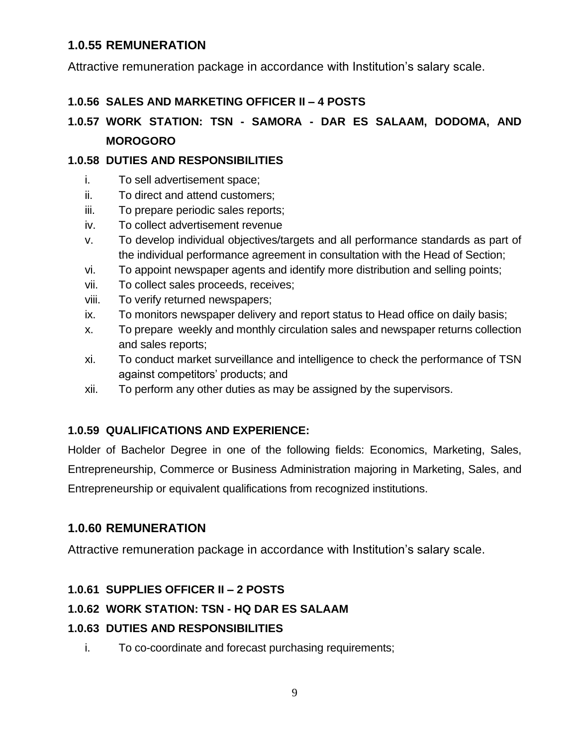#### **1.0.55 REMUNERATION**

Attractive remuneration package in accordance with Institution's salary scale.

#### **1.0.56 SALES AND MARKETING OFFICER II – 4 POSTS**

# **1.0.57 WORK STATION: TSN - SAMORA - DAR ES SALAAM, DODOMA, AND MOROGORO**

#### **1.0.58 DUTIES AND RESPONSIBILITIES**

- i. To sell advertisement space;
- ii. To direct and attend customers;
- iii. To prepare periodic sales reports;
- iv. To collect advertisement revenue
- v. To develop individual objectives/targets and all performance standards as part of the individual performance agreement in consultation with the Head of Section;
- vi. To appoint newspaper agents and identify more distribution and selling points;
- vii. To collect sales proceeds, receives;
- viii. To verify returned newspapers;
- ix. To monitors newspaper delivery and report status to Head office on daily basis;
- x. To prepare weekly and monthly circulation sales and newspaper returns collection and sales reports;
- xi. To conduct market surveillance and intelligence to check the performance of TSN against competitors' products; and
- xii. To perform any other duties as may be assigned by the supervisors.

# **1.0.59 QUALIFICATIONS AND EXPERIENCE:**

Holder of Bachelor Degree in one of the following fields: Economics, Marketing, Sales, Entrepreneurship, Commerce or Business Administration majoring in Marketing, Sales, and Entrepreneurship or equivalent qualifications from recognized institutions.

# **1.0.60 REMUNERATION**

Attractive remuneration package in accordance with Institution's salary scale.

# **1.0.61 SUPPLIES OFFICER II – 2 POSTS**

# **1.0.62 WORK STATION: TSN - HQ DAR ES SALAAM**

# **1.0.63 DUTIES AND RESPONSIBILITIES**

i. To co-coordinate and forecast purchasing requirements;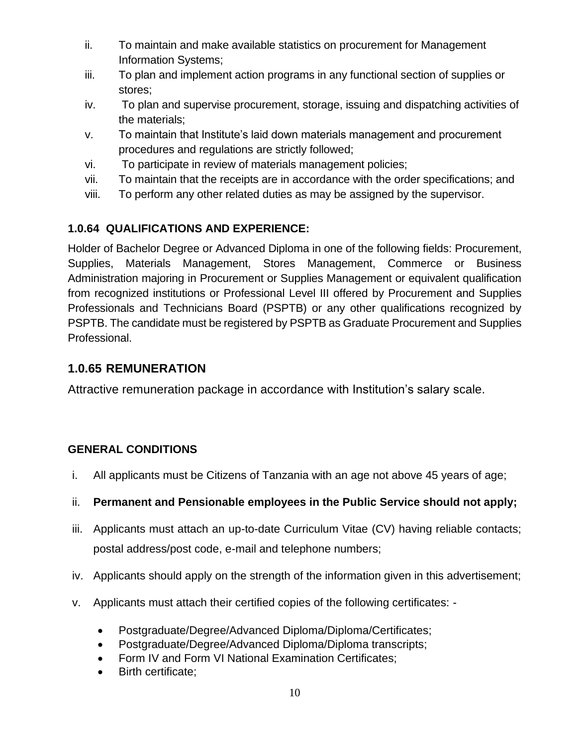- ii. To maintain and make available statistics on procurement for Management Information Systems;
- iii. To plan and implement action programs in any functional section of supplies or stores;
- iv. To plan and supervise procurement, storage, issuing and dispatching activities of the materials;
- v. To maintain that Institute's laid down materials management and procurement procedures and regulations are strictly followed;
- vi. To participate in review of materials management policies;
- vii. To maintain that the receipts are in accordance with the order specifications; and
- viii. To perform any other related duties as may be assigned by the supervisor.

# **1.0.64 QUALIFICATIONS AND EXPERIENCE:**

Holder of Bachelor Degree or Advanced Diploma in one of the following fields: Procurement, Supplies, Materials Management, Stores Management, Commerce or Business Administration majoring in Procurement or Supplies Management or equivalent qualification from recognized institutions or Professional Level III offered by Procurement and Supplies Professionals and Technicians Board (PSPTB) or any other qualifications recognized by PSPTB. The candidate must be registered by PSPTB as Graduate Procurement and Supplies Professional.

# **1.0.65 REMUNERATION**

Attractive remuneration package in accordance with Institution's salary scale.

# **GENERAL CONDITIONS**

- i. All applicants must be Citizens of Tanzania with an age not above 45 years of age;
- ii. **Permanent and Pensionable employees in the Public Service should not apply;**
- iii. Applicants must attach an up-to-date Curriculum Vitae (CV) having reliable contacts; postal address/post code, e-mail and telephone numbers;
- iv. Applicants should apply on the strength of the information given in this advertisement;
- v. Applicants must attach their certified copies of the following certificates:
	- Postgraduate/Degree/Advanced Diploma/Diploma/Certificates;
	- Postgraduate/Degree/Advanced Diploma/Diploma transcripts;
	- Form IV and Form VI National Examination Certificates;
	- Birth certificate;